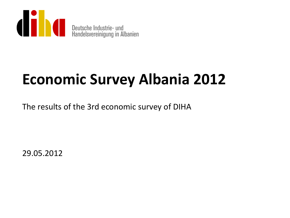

# **Economic Survey Albania 2012**

The results of the 3rd economic survey of DIHA

29.05.2012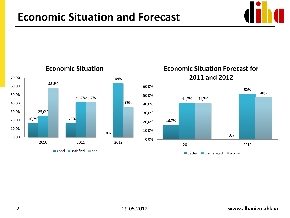### **Economic Situation and Forecast**



16,7% 16,7% 0% 25,0% 41,7% 41,7% 64% 58,3% 36% 0,0% 10,0% 20,0% 30,0% 40,0% 50,0% 60,0% 70,0% 2010 2011 2012  $\Box$  good  $\Box$  satisfied  $\Box$  bad

### **Economic Situation**

**Economic Situation Forecast for 2011 and 2012** 

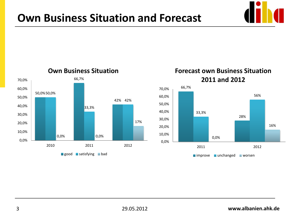## **Own Business Situation and Forecast**



### **Forecast own Business Situation 2011 and 2012**

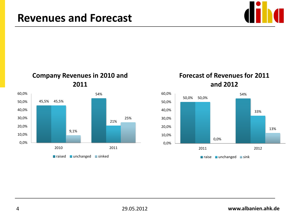

### **Company Revenues in 2010 and 2011**



### **Forecast of Revenues for 2011 and 2012**

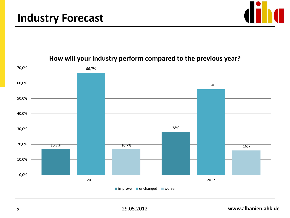

### **How will your industry perform compared to the previous year?**

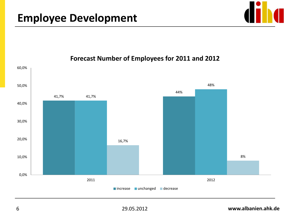



### **Forecast Number of Employees for 2011 and 2012**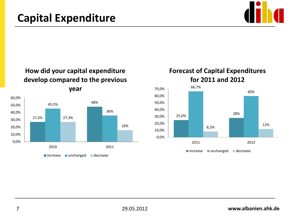

### **How did your capital expenditure develop compared to the previous**



### **Forecast of Capital Expenditures for 2011 and 2012**

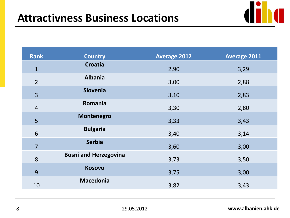

| <b>Rank</b>    | <b>Country</b>               | <b>Average 2012</b> | <b>Average 2011</b> |
|----------------|------------------------------|---------------------|---------------------|
| $\mathbf{1}$   | <b>Croatia</b>               | 2,90                | 3,29                |
| $\overline{2}$ | <b>Albania</b>               | 3,00                | 2,88                |
| $\overline{3}$ | Slovenia                     | 3,10                | 2,83                |
| $\overline{4}$ | Romania                      | 3,30                | 2,80                |
| 5              | Montenegro                   | 3,33                | 3,43                |
| 6              | <b>Bulgaria</b>              | 3,40                | 3,14                |
| $\overline{7}$ | <b>Serbia</b>                | 3,60                | 3,00                |
| 8              | <b>Bosni and Herzegovina</b> | 3,73                | 3,50                |
| 9              | <b>Kosovo</b>                | 3,75                | 3,00                |
| 10             | <b>Macedonia</b>             | 3,82                | 3,43                |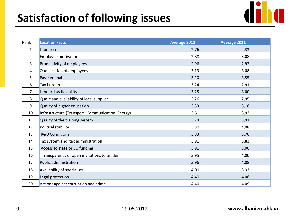## **Satisfaction of following issues**



| Rank           | <b>Location Factor</b>                            | <b>Average 2012</b> | <b>Average 2011</b> |
|----------------|---------------------------------------------------|---------------------|---------------------|
| $\mathbf{1}$   | Labour costs                                      | 2,76                | 2,33                |
| $\overline{2}$ | Employee motivation                               | 2,88                | 3,08                |
| $\overline{3}$ | Productivity of employees                         | 2,96                | 2,92                |
| 4              | Qualification of employees                        | 3,13                | 3,08                |
| 5              | Payment habit                                     | 3,20                | 3,55                |
| 6              | Tax burden                                        | 3,24                | 2,91                |
| 7              | Labour-law flexibility                            | 3,25                | 3,00                |
| 8              | Qualit and availability of local supplier         | 3,26                | 2,95                |
| 9              | Quality of higher education                       | 3,33                | 3,18                |
| 10             | Infrastructure (Transport, Communication, Energy) | 3,61                | 3,92                |
| 11             | Quality of the training system                    | 3,74                | 3,91                |
| 12             | Political stability                               | 3,80                | 4,08                |
| 13             | <b>R&amp;D Conditions</b>                         | 3,83                | 3,70                |
| 14             | Tax system and tax administration                 | 3,91                | 3,83                |
| 15             | Access to state or EU funding                     | 3,91                | 3,00                |
| 16             | TTransparency of open invitations to tender       | 3,95                | 4,00                |
| 17             | Public administration                             | 3,96                | 4,08                |
| 18             | Availability of specialists                       | 4,00                | 3,33                |
| 19             | Legal protection                                  | 4,40                | 4,08                |
| 20             | Actions against corruption and crime              | 4,40                | 4,09                |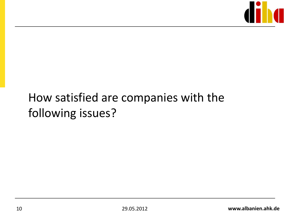

## How satisfied are companies with the following issues?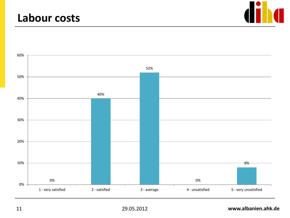### **Labour costs**



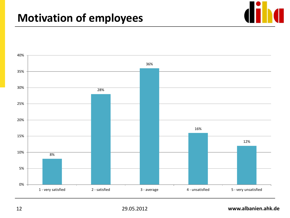### **Motivation of employees**



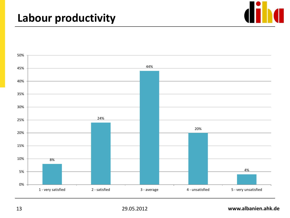### **Labour productivity**

![](_page_12_Picture_1.jpeg)

![](_page_12_Figure_2.jpeg)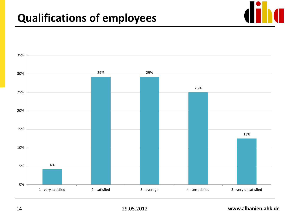### **Qualifications of employees**

![](_page_13_Figure_1.jpeg)

![](_page_13_Figure_2.jpeg)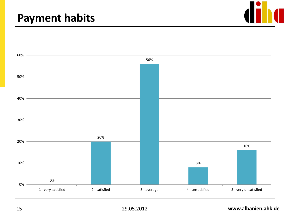### **Payment habits**

![](_page_14_Picture_1.jpeg)

![](_page_14_Figure_2.jpeg)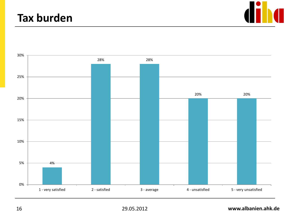### **Tax burden**

![](_page_15_Picture_1.jpeg)

![](_page_15_Figure_2.jpeg)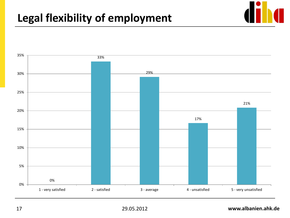## **Legal flexibility of employment**

![](_page_16_Figure_1.jpeg)

![](_page_16_Figure_2.jpeg)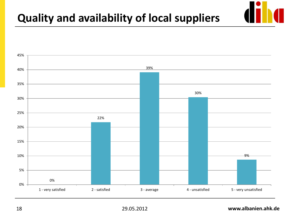## **Quality and availability of local suppliers**

![](_page_17_Figure_1.jpeg)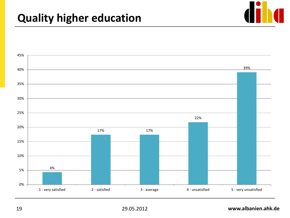## **Quality higher education**

![](_page_18_Picture_1.jpeg)

![](_page_18_Figure_2.jpeg)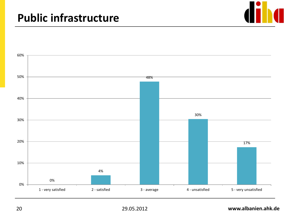### **Public infrastructure**

![](_page_19_Figure_1.jpeg)

![](_page_19_Figure_2.jpeg)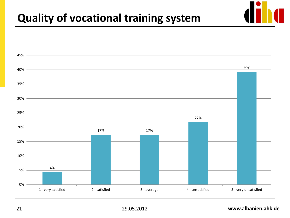## **Quality of vocational training system**

![](_page_20_Figure_1.jpeg)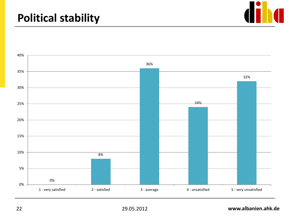### **Political stability**

![](_page_21_Picture_1.jpeg)

![](_page_21_Figure_2.jpeg)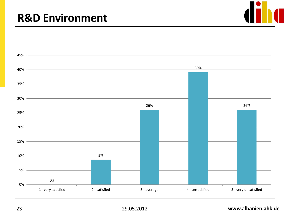### **R&D Environment**

![](_page_22_Picture_1.jpeg)

![](_page_22_Figure_2.jpeg)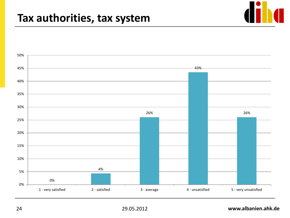### **Tax authorities, tax system**

![](_page_23_Figure_1.jpeg)

![](_page_23_Figure_2.jpeg)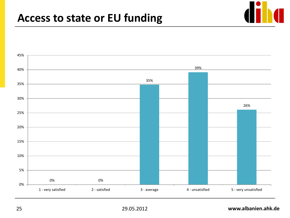### **Access to state or EU funding**

![](_page_24_Figure_1.jpeg)

![](_page_24_Figure_2.jpeg)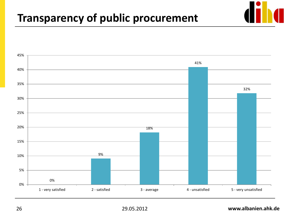## **Transparency of public procurement**

![](_page_25_Figure_1.jpeg)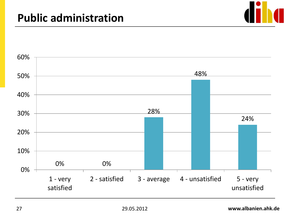![](_page_26_Picture_1.jpeg)

![](_page_26_Figure_2.jpeg)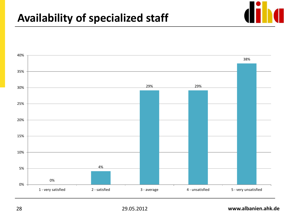## **Availability of specialized staff**

![](_page_27_Figure_1.jpeg)

![](_page_27_Figure_2.jpeg)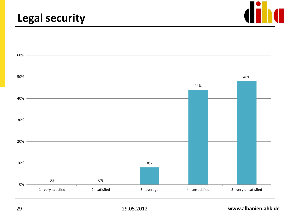## **Legal security**

![](_page_28_Picture_1.jpeg)

![](_page_28_Figure_2.jpeg)